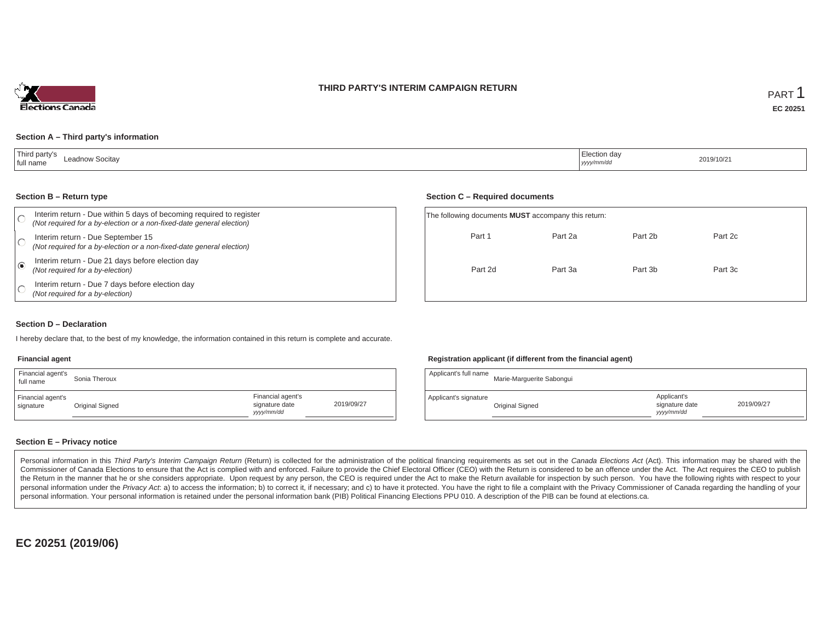### **THIRD PARTY'S INTERIM CAMPAIGN RETURN**



### **Section A – Third party's information**

| Third party's<br>Leadnow Socitav<br>full name | $\overline{\phantom{a}}$<br>  Election day<br>.<br>yyyy/mm/dd | 2019/10/21 |
|-----------------------------------------------|---------------------------------------------------------------|------------|
|-----------------------------------------------|---------------------------------------------------------------|------------|

#### **Section B – Return type**

| Interim return - Due within 5 days of becoming required to register<br>(Not required for a by-election or a non-fixed-date general election) | The following documents <b>MUST</b> accompany this return: |         |         |         |
|----------------------------------------------------------------------------------------------------------------------------------------------|------------------------------------------------------------|---------|---------|---------|
| Interim return - Due September 15<br>(Not required for a by-election or a non-fixed-date general election)                                   | Part 1                                                     | Part 2a | Part 2b | Part 2c |
| Interim return - Due 21 days before election day<br>(Not required for a by-election)                                                         | Part 2d                                                    | Part 3a | Part 3b | Part 3c |
| Interim return - Due 7 days before election day<br>(Not required for a by-election)                                                          |                                                            |         |         |         |

### **Section D – Declaration**

I hereby declare that, to the best of my knowledge, the information contained in this return is complete and accurate.

#### **Financial agent**

| Financial agent's<br>full name | Sonia Theroux   |                                                  |            |
|--------------------------------|-----------------|--------------------------------------------------|------------|
| Financial agent's<br>signature | Original Signed | Financial agent's<br>signature date<br>vyy/mm/dd | 2019/09/27 |

#### **Registration applicant (if different from the financial agent)**

**Section C – Required documents**

| Applicant's full name | Marie-Marquerite Sabonqui |                                            |            |
|-----------------------|---------------------------|--------------------------------------------|------------|
| Applicant's signature | Original Signed           | Applicant's<br>signature date<br>vyy/mm/dd | 2019/09/27 |

### **Section E – Privacy notice**

Personal information in this Third Party's Interim Campaign Return (Return) is collected for the administration of the political financing requirements as set out in the Canada Elections Act (Act). This information may be Commissioner of Canada Elections to ensure that the Act is complied with and enforced. Failure to provide the Chief Electoral Officer (CEO) with the Return is considered to be an offence under the Act. The Act requires the the Return in the manner that he or she considers appropriate. Upon request by any person, the CEO is required under the Act to make the Return available for inspection by such person. You have the following rights with re personal information under the Privacy Act. a) to access the information; b) to correct it, if necessary; and c) to have it protected. You have the right to file a complaint with the Privacy Commissioner of Canada regardin personal information. Your personal information is retained under the personal information bank (PIB) Political Financing Elections PPU 010. A description of the PIB can be found at elections.ca.

**EC 20251 (2019/06)**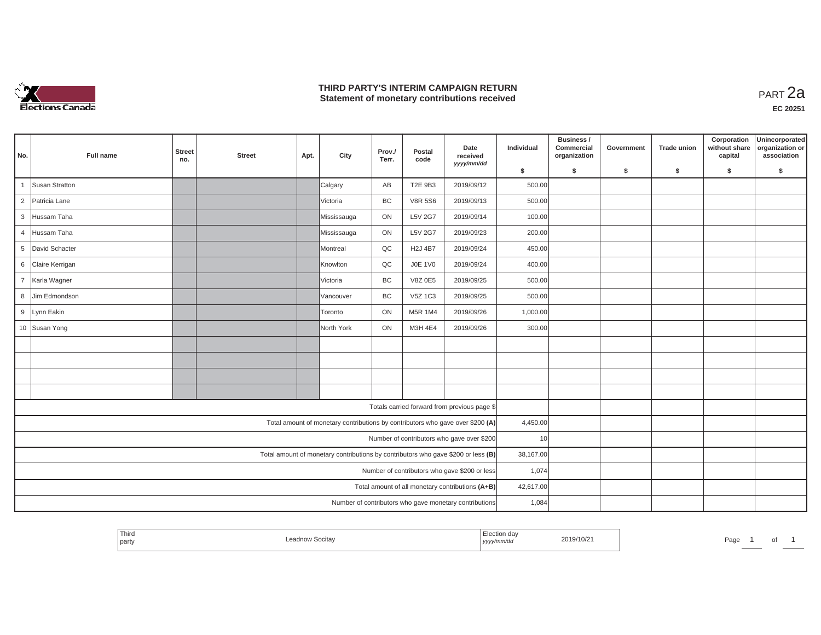

## **THIRD PARTY'S INTERIM CAMPAIGN RETURN THIRD PARTY'S INTERIM CAMPAIGN RETURN<br>Statement of monetary contributions received PART 2a**

| No.                                           | Full name       | <b>Street</b><br>no. | <b>Street</b> | Apt. | City        | Prov./<br>Terr. | Postal<br>code | Date<br>received<br>yyyy/mm/dd                                                    | Individual | Business /<br>Commercial<br>organization | Government | <b>Trade union</b> | Corporation<br>without share<br>capital | Unincorporated<br>organization or<br>association |
|-----------------------------------------------|-----------------|----------------------|---------------|------|-------------|-----------------|----------------|-----------------------------------------------------------------------------------|------------|------------------------------------------|------------|--------------------|-----------------------------------------|--------------------------------------------------|
|                                               |                 |                      |               |      |             |                 |                |                                                                                   | \$         | S.                                       | \$         | S.                 | \$                                      | S.                                               |
|                                               | Susan Stratton  |                      |               |      | Calgary     | AB              | T2E 9B3        | 2019/09/12                                                                        | 500.00     |                                          |            |                    |                                         |                                                  |
| $\overline{2}$                                | Patricia Lane   |                      |               |      | Victoria    | BC              | <b>V8R 5S6</b> | 2019/09/13                                                                        | 500.00     |                                          |            |                    |                                         |                                                  |
| $\mathbf{3}$                                  | Hussam Taha     |                      |               |      | Mississauga | ON              | L5V 2G7        | 2019/09/14                                                                        | 100.00     |                                          |            |                    |                                         |                                                  |
| $\overline{4}$                                | Hussam Taha     |                      |               |      | Mississauga | ON              | L5V 2G7        | 2019/09/23                                                                        | 200.00     |                                          |            |                    |                                         |                                                  |
| 5                                             | David Schacter  |                      |               |      | Montreal    | QC              | <b>H2J 4B7</b> | 2019/09/24                                                                        | 450.00     |                                          |            |                    |                                         |                                                  |
| 6                                             | Claire Kerrigan |                      |               |      | Knowlton    | QC              | <b>J0E 1V0</b> | 2019/09/24                                                                        | 400.00     |                                          |            |                    |                                         |                                                  |
| $\overline{7}$                                | Karla Wagner    |                      |               |      | Victoria    | BC              | V8Z 0E5        | 2019/09/25                                                                        | 500.00     |                                          |            |                    |                                         |                                                  |
| 8                                             | Jim Edmondson   |                      |               |      | Vancouver   | BC              | V5Z 1C3        | 2019/09/25                                                                        | 500.00     |                                          |            |                    |                                         |                                                  |
| 9                                             | Lynn Eakin      |                      |               |      | Toronto     | ON              | M5R 1M4        | 2019/09/26                                                                        | 1,000.00   |                                          |            |                    |                                         |                                                  |
|                                               | 10 Susan Yong   |                      |               |      | North York  | ON              | M3H 4E4        | 2019/09/26                                                                        | 300.00     |                                          |            |                    |                                         |                                                  |
|                                               |                 |                      |               |      |             |                 |                |                                                                                   |            |                                          |            |                    |                                         |                                                  |
|                                               |                 |                      |               |      |             |                 |                |                                                                                   |            |                                          |            |                    |                                         |                                                  |
|                                               |                 |                      |               |      |             |                 |                |                                                                                   |            |                                          |            |                    |                                         |                                                  |
|                                               |                 |                      |               |      |             |                 |                |                                                                                   |            |                                          |            |                    |                                         |                                                  |
|                                               |                 |                      |               |      |             |                 |                | Totals carried forward from previous page \$                                      |            |                                          |            |                    |                                         |                                                  |
|                                               |                 |                      |               |      |             |                 |                | Total amount of monetary contributions by contributors who gave over \$200 (A)    | 4,450.00   |                                          |            |                    |                                         |                                                  |
|                                               |                 |                      |               |      |             |                 |                | Number of contributors who gave over \$200                                        | 10         |                                          |            |                    |                                         |                                                  |
|                                               |                 |                      |               |      |             |                 |                | Total amount of monetary contributions by contributors who gave \$200 or less (B) | 38,167.00  |                                          |            |                    |                                         |                                                  |
| Number of contributors who gave \$200 or less |                 |                      |               |      |             |                 |                |                                                                                   | 1,074      |                                          |            |                    |                                         |                                                  |
|                                               |                 |                      |               |      |             |                 |                | Total amount of all monetary contributions (A+B)                                  | 42,617.00  |                                          |            |                    |                                         |                                                  |
|                                               |                 |                      |               |      |             |                 |                | Number of contributors who gave monetary contributions                            | 1,084      |                                          |            |                    |                                         |                                                  |

| <b>Contract Contract Contract</b><br>Third<br>019/10/2<br>party<br>  <i>yyyy</i><br>. | Page<br>ັ |
|---------------------------------------------------------------------------------------|-----------|
|---------------------------------------------------------------------------------------|-----------|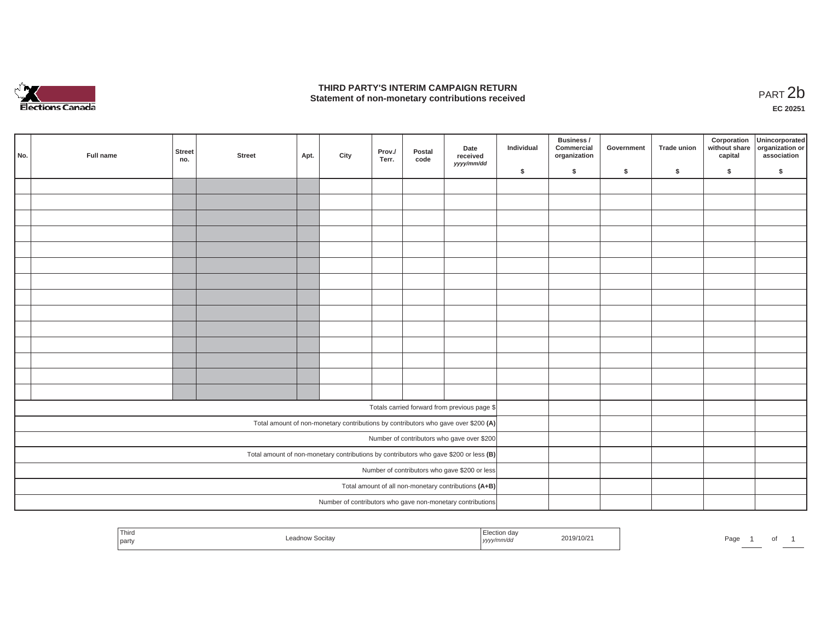

## **THIRD PARTY'S INTERIM CAMPAIGN RETURN**  THIRD PARTY'S INTERIM CAMPAIGN RETURN<br>Statement of non-monetary contributions received<br>**PART 2**b

**EC 20251**

| No. | Full name | Street<br>no. | <b>Street</b> | Apt. | City | Prov./<br>Terr. | Postal<br>code | Date<br>received                                                                      | Individual | Business /<br>Commercial<br>organization | Government | <b>Trade union</b> | Corporation<br>capital | Unincorporated<br>without share organization or<br>association |
|-----|-----------|---------------|---------------|------|------|-----------------|----------------|---------------------------------------------------------------------------------------|------------|------------------------------------------|------------|--------------------|------------------------|----------------------------------------------------------------|
|     |           |               |               |      |      |                 |                | yyyy/mm/dd                                                                            | \$         | \$                                       | \$         | \$                 | \$                     | \$                                                             |
|     |           |               |               |      |      |                 |                |                                                                                       |            |                                          |            |                    |                        |                                                                |
|     |           |               |               |      |      |                 |                |                                                                                       |            |                                          |            |                    |                        |                                                                |
|     |           |               |               |      |      |                 |                |                                                                                       |            |                                          |            |                    |                        |                                                                |
|     |           |               |               |      |      |                 |                |                                                                                       |            |                                          |            |                    |                        |                                                                |
|     |           |               |               |      |      |                 |                |                                                                                       |            |                                          |            |                    |                        |                                                                |
|     |           |               |               |      |      |                 |                |                                                                                       |            |                                          |            |                    |                        |                                                                |
|     |           |               |               |      |      |                 |                |                                                                                       |            |                                          |            |                    |                        |                                                                |
|     |           |               |               |      |      |                 |                |                                                                                       |            |                                          |            |                    |                        |                                                                |
|     |           |               |               |      |      |                 |                |                                                                                       |            |                                          |            |                    |                        |                                                                |
|     |           |               |               |      |      |                 |                |                                                                                       |            |                                          |            |                    |                        |                                                                |
|     |           |               |               |      |      |                 |                |                                                                                       |            |                                          |            |                    |                        |                                                                |
|     |           |               |               |      |      |                 |                |                                                                                       |            |                                          |            |                    |                        |                                                                |
|     |           |               |               |      |      |                 |                |                                                                                       |            |                                          |            |                    |                        |                                                                |
|     |           |               |               |      |      |                 |                |                                                                                       |            |                                          |            |                    |                        |                                                                |
|     |           |               |               |      |      |                 |                | Totals carried forward from previous page \$                                          |            |                                          |            |                    |                        |                                                                |
|     |           |               |               |      |      |                 |                | Total amount of non-monetary contributions by contributors who gave over \$200 (A)    |            |                                          |            |                    |                        |                                                                |
|     |           |               |               |      |      |                 |                | Number of contributors who gave over \$200                                            |            |                                          |            |                    |                        |                                                                |
|     |           |               |               |      |      |                 |                | Total amount of non-monetary contributions by contributors who gave \$200 or less (B) |            |                                          |            |                    |                        |                                                                |
|     |           |               |               |      |      |                 |                | Number of contributors who gave \$200 or less                                         |            |                                          |            |                    |                        |                                                                |
|     |           |               |               |      |      |                 |                | Total amount of all non-monetary contributions (A+B)                                  |            |                                          |            |                    |                        |                                                                |
|     |           |               |               |      |      |                 |                | Number of contributors who gave non-monetary contributions                            |            |                                          |            |                    |                        |                                                                |

| Third<br>า aa√<br>2019/10/2<br>.<br>Socitay<br>.<br>–∈au•<br>party<br><i>yyyymma</i> a | Pag<br>וש |
|----------------------------------------------------------------------------------------|-----------|
|----------------------------------------------------------------------------------------|-----------|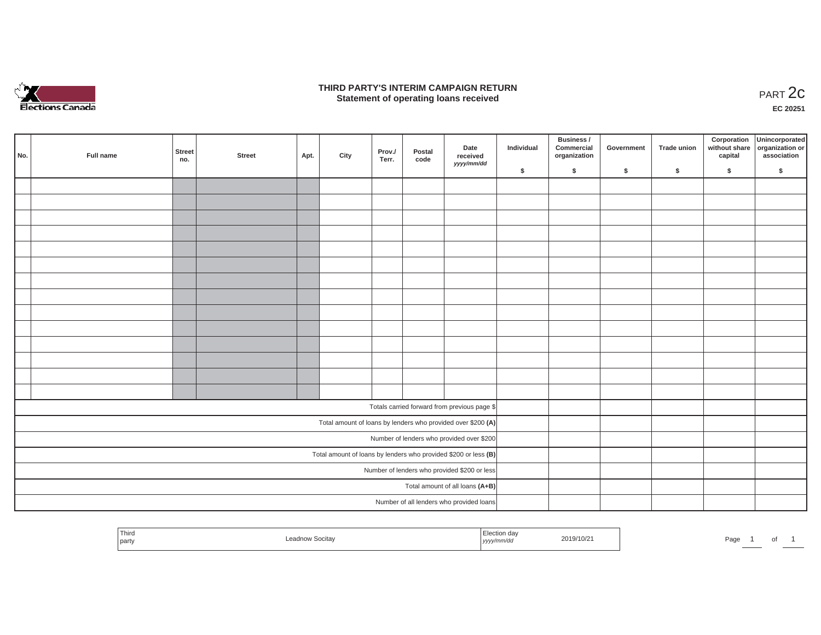

### **THIRD PARTY'S INTERIM CAMPAIGN RETURN**  RD PARTY'S INTERIM CAMPAIGN RETURN<br>Statement of operating loans received **PART 2c**

**EC 20251**

| No. | Full name | <b>Street</b><br>no. | <b>Street</b> | Apt. | City | Prov./<br>Terr. | Postal<br>code | Date<br>received<br>yyyy/mm/dd                                    | Individual | Business /<br>Commercial<br>organization | Government | Trade union | Corporation<br>capital | Unincorporated<br>without share organization or<br>association |
|-----|-----------|----------------------|---------------|------|------|-----------------|----------------|-------------------------------------------------------------------|------------|------------------------------------------|------------|-------------|------------------------|----------------------------------------------------------------|
|     |           |                      |               |      |      |                 |                |                                                                   | \$         | $\sqrt{2}$                               | \$         | $\sqrt{2}$  | \$                     | \$                                                             |
|     |           |                      |               |      |      |                 |                |                                                                   |            |                                          |            |             |                        |                                                                |
|     |           |                      |               |      |      |                 |                |                                                                   |            |                                          |            |             |                        |                                                                |
|     |           |                      |               |      |      |                 |                |                                                                   |            |                                          |            |             |                        |                                                                |
|     |           |                      |               |      |      |                 |                |                                                                   |            |                                          |            |             |                        |                                                                |
|     |           |                      |               |      |      |                 |                |                                                                   |            |                                          |            |             |                        |                                                                |
|     |           |                      |               |      |      |                 |                |                                                                   |            |                                          |            |             |                        |                                                                |
|     |           |                      |               |      |      |                 |                |                                                                   |            |                                          |            |             |                        |                                                                |
|     |           |                      |               |      |      |                 |                |                                                                   |            |                                          |            |             |                        |                                                                |
|     |           |                      |               |      |      |                 |                |                                                                   |            |                                          |            |             |                        |                                                                |
|     |           |                      |               |      |      |                 |                |                                                                   |            |                                          |            |             |                        |                                                                |
|     |           |                      |               |      |      |                 |                |                                                                   |            |                                          |            |             |                        |                                                                |
|     |           |                      |               |      |      |                 |                |                                                                   |            |                                          |            |             |                        |                                                                |
|     |           |                      |               |      |      |                 |                |                                                                   |            |                                          |            |             |                        |                                                                |
|     |           |                      |               |      |      |                 |                |                                                                   |            |                                          |            |             |                        |                                                                |
|     |           |                      |               |      |      |                 |                | Totals carried forward from previous page \$                      |            |                                          |            |             |                        |                                                                |
|     |           |                      |               |      |      |                 |                | Total amount of loans by lenders who provided over \$200 (A)      |            |                                          |            |             |                        |                                                                |
|     |           |                      |               |      |      |                 |                | Number of lenders who provided over \$200                         |            |                                          |            |             |                        |                                                                |
|     |           |                      |               |      |      |                 |                | Total amount of loans by lenders who provided \$200 or less $(B)$ |            |                                          |            |             |                        |                                                                |
|     |           |                      |               |      |      |                 |                | Number of lenders who provided \$200 or less                      |            |                                          |            |             |                        |                                                                |
|     |           |                      |               |      |      |                 |                | Total amount of all loans (A+B)                                   |            |                                          |            |             |                        |                                                                |
|     |           |                      |               |      |      |                 |                | Number of all lenders who provided loans                          |            |                                          |            |             |                        |                                                                |

| Third<br>the contract of the contract of<br>party | Leadnow Socitay | Election day<br>yyyy/mm/dd | 2019/10/21 | Page | $\cdot$ |  |
|---------------------------------------------------|-----------------|----------------------------|------------|------|---------|--|
|                                                   |                 |                            |            |      |         |  |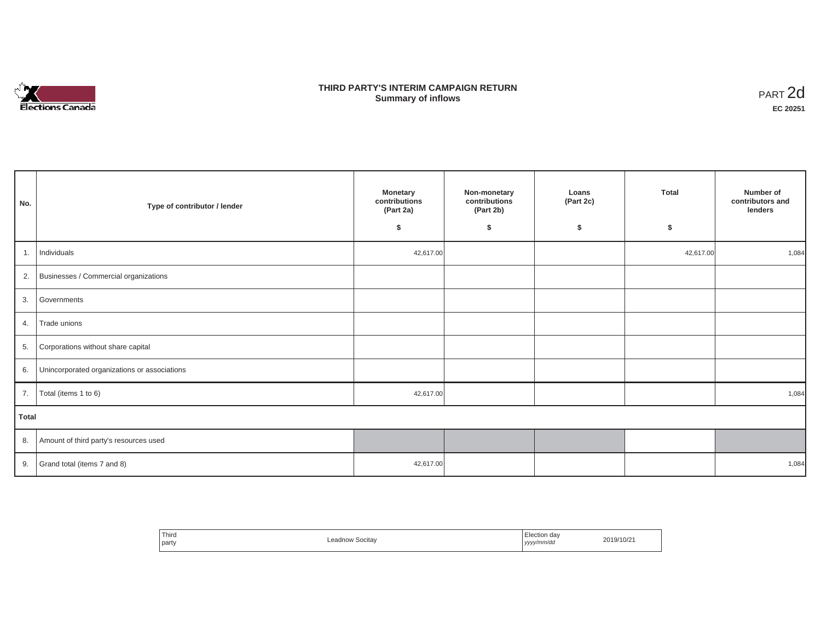

# **THIRD PARTY'S INTERIM CAMPAIGN RETURN SUMMARY STATE SUMMARY OF A SUMMARY OF A SUMMARY OF A SUMMARY OF A SUMMARY OF A SUMMARY OF A SUMMARY OF A SUMMA**<br> **Summary of inflows**

| No.          | Type of contributor / lender                    | <b>Monetary</b><br>contributions<br>(Part 2a)<br>\$ | Non-monetary<br>contributions<br>(Part 2b)<br>\$ | Loans<br>(Part 2c)<br>\$ | <b>Total</b><br>\$ | Number of<br>contributors and<br>lenders |  |  |
|--------------|-------------------------------------------------|-----------------------------------------------------|--------------------------------------------------|--------------------------|--------------------|------------------------------------------|--|--|
| 1.           | Individuals                                     | 42,617.00                                           |                                                  |                          | 42,617.00          | 1,084                                    |  |  |
|              | 2. Businesses / Commercial organizations        |                                                     |                                                  |                          |                    |                                          |  |  |
|              | 3. Governments                                  |                                                     |                                                  |                          |                    |                                          |  |  |
| 4.           | Trade unions                                    |                                                     |                                                  |                          |                    |                                          |  |  |
|              | 5. Corporations without share capital           |                                                     |                                                  |                          |                    |                                          |  |  |
|              | 6. Unincorporated organizations or associations |                                                     |                                                  |                          |                    |                                          |  |  |
| 7.           | Total (items 1 to 6)                            | 42,617.00                                           |                                                  |                          |                    | 1,084                                    |  |  |
| <b>Total</b> |                                                 |                                                     |                                                  |                          |                    |                                          |  |  |
|              | 8. Amount of third party's resources used       |                                                     |                                                  |                          |                    |                                          |  |  |
|              | 9. Grand total (items $7$ and $8$ )             | 42,617.00                                           |                                                  |                          |                    | 1,084                                    |  |  |

| Third<br>_ea<br>dnow Socitav<br>party | Election dav<br>2019/10/21<br>yyyy/mm/dd<br>,,,, |  |
|---------------------------------------|--------------------------------------------------|--|
|---------------------------------------|--------------------------------------------------|--|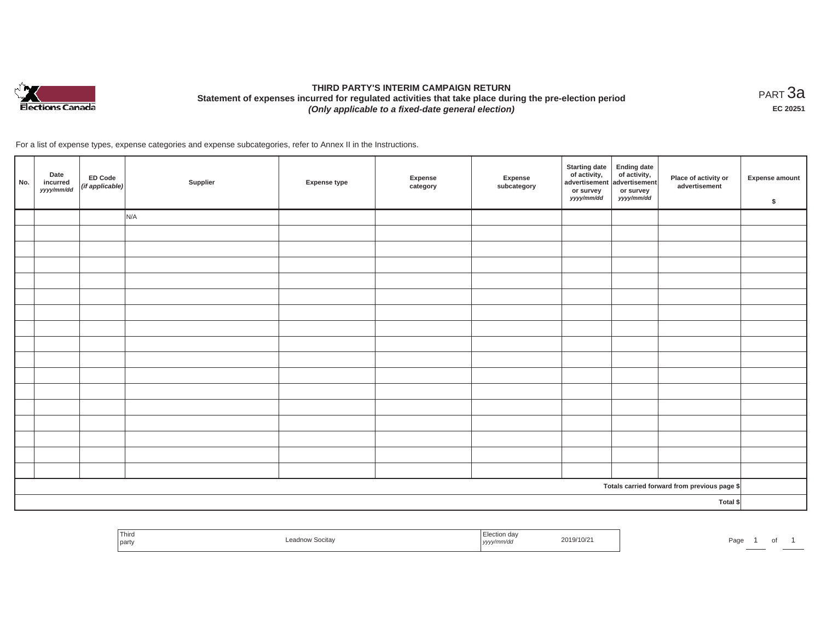

# **THIRD PARTY'S INTERIM CAMPAIGN RETURN Statement of expenses incurred for regulated activities that take place during the pre-election period**  *(Only applicable to a fixed-date general election)*

<code>PART $3$ a</code> **EC 20251**

| No.      | Date<br>incurred<br>yyyy/mm/dd | ED Code<br>(if applicable) | Supplier | Expense type | Expense<br>category | Expense<br>subcategory | Starting date<br>of activity,<br>advertisement<br>advertisement<br>dvertisement<br>advertisement<br>advertisement<br>advertisement<br>advertisement<br>advertisement<br>advertisement<br>advertisement<br>advertisement<br>advertisement<br>advertisement<br><br>or survey<br>yyyy/mm/dd | or survey<br>yyyy/mm/dd | Place of activity or<br>advertisement        | <b>Expense amount</b><br>\$ |
|----------|--------------------------------|----------------------------|----------|--------------|---------------------|------------------------|------------------------------------------------------------------------------------------------------------------------------------------------------------------------------------------------------------------------------------------------------------------------------------------|-------------------------|----------------------------------------------|-----------------------------|
|          |                                |                            | N/A      |              |                     |                        |                                                                                                                                                                                                                                                                                          |                         |                                              |                             |
|          |                                |                            |          |              |                     |                        |                                                                                                                                                                                                                                                                                          |                         |                                              |                             |
|          |                                |                            |          |              |                     |                        |                                                                                                                                                                                                                                                                                          |                         |                                              |                             |
|          |                                |                            |          |              |                     |                        |                                                                                                                                                                                                                                                                                          |                         |                                              |                             |
|          |                                |                            |          |              |                     |                        |                                                                                                                                                                                                                                                                                          |                         |                                              |                             |
|          |                                |                            |          |              |                     |                        |                                                                                                                                                                                                                                                                                          |                         |                                              |                             |
|          |                                |                            |          |              |                     |                        |                                                                                                                                                                                                                                                                                          |                         |                                              |                             |
|          |                                |                            |          |              |                     |                        |                                                                                                                                                                                                                                                                                          |                         |                                              |                             |
|          |                                |                            |          |              |                     |                        |                                                                                                                                                                                                                                                                                          |                         |                                              |                             |
|          |                                |                            |          |              |                     |                        |                                                                                                                                                                                                                                                                                          |                         |                                              |                             |
|          |                                |                            |          |              |                     |                        |                                                                                                                                                                                                                                                                                          |                         |                                              |                             |
|          |                                |                            |          |              |                     |                        |                                                                                                                                                                                                                                                                                          |                         |                                              |                             |
|          |                                |                            |          |              |                     |                        |                                                                                                                                                                                                                                                                                          |                         |                                              |                             |
|          |                                |                            |          |              |                     |                        |                                                                                                                                                                                                                                                                                          |                         |                                              |                             |
|          |                                |                            |          |              |                     |                        |                                                                                                                                                                                                                                                                                          |                         |                                              |                             |
|          |                                |                            |          |              |                     |                        |                                                                                                                                                                                                                                                                                          |                         |                                              |                             |
|          |                                |                            |          |              |                     |                        |                                                                                                                                                                                                                                                                                          |                         |                                              |                             |
|          |                                |                            |          |              |                     |                        |                                                                                                                                                                                                                                                                                          |                         | Totals carried forward from previous page \$ |                             |
| Total \$ |                                |                            |          |              |                     |                        |                                                                                                                                                                                                                                                                                          |                         |                                              |                             |

| Third<br>party | on day<br><br>,,,,, | 2019/10/2 | aut | וש |  |
|----------------|---------------------|-----------|-----|----|--|
|                |                     |           |     |    |  |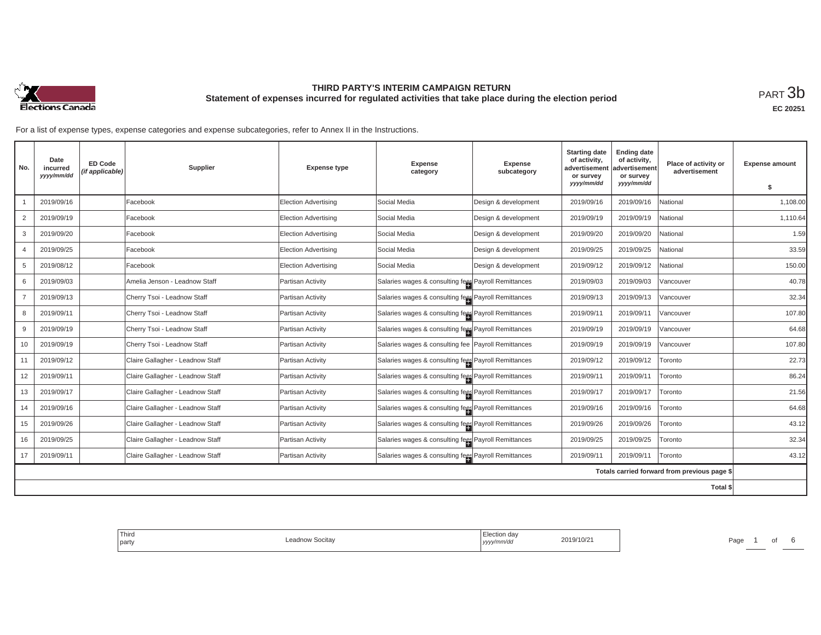

**EC 20251**

| No.                                          | Date<br>incurred<br>yyyy/mm/dd | <b>ED Code</b><br>(if applicable) | Supplier                         | <b>Expense type</b>         | <b>Expense</b><br>category                           | <b>Expense</b><br>subcategory | <b>Starting date</b><br>of activity,<br>advertisement<br>or survey | <b>Ending date</b><br>of activity,<br>advertisement<br>or survey | Place of activity or<br>advertisement | <b>Expense amount</b> |
|----------------------------------------------|--------------------------------|-----------------------------------|----------------------------------|-----------------------------|------------------------------------------------------|-------------------------------|--------------------------------------------------------------------|------------------------------------------------------------------|---------------------------------------|-----------------------|
|                                              |                                |                                   |                                  |                             |                                                      |                               | yyyy/mm/dd                                                         | yyyy/mm/dd                                                       |                                       | \$                    |
|                                              | 2019/09/16                     |                                   | Facebook                         | <b>Election Advertising</b> | Social Media                                         | Design & development          | 2019/09/16                                                         | 2019/09/16                                                       | National                              | 1,108.00              |
| $\overline{2}$                               | 2019/09/19                     |                                   | Facebook                         | <b>Election Advertising</b> | Social Media                                         | Design & development          | 2019/09/19                                                         | 2019/09/19                                                       | National                              | 1,110.64              |
| 3                                            | 2019/09/20                     |                                   | Facebook                         | <b>Election Advertising</b> | Social Media                                         | Design & development          | 2019/09/20                                                         | 2019/09/20                                                       | <b>Jational</b>                       | 1.59                  |
|                                              | 2019/09/25                     |                                   | Facebook                         | Election Advertising        | Social Media                                         | Design & development          | 2019/09/25                                                         | 2019/09/25                                                       | National                              | 33.59                 |
| 5                                            | 2019/08/12                     |                                   | Facebook                         | Election Advertising        | Social Media                                         | Design & development          | 2019/09/12                                                         | 2019/09/12                                                       | Vational                              | 150.00                |
| 6                                            | 2019/09/03                     |                                   | Amelia Jenson - Leadnow Staff    | Partisan Activity           | Salaries wages & consulting fees Payroll Remittances |                               | 2019/09/03                                                         | 2019/09/03                                                       | /ancouver                             | 40.78                 |
| $\overline{7}$                               | 2019/09/13                     |                                   | Cherry Tsoi - Leadnow Staff      | Partisan Activity           | Salaries wages & consulting fees Payroll Remittances |                               | 2019/09/13                                                         | 2019/09/13                                                       | /ancouver                             | 32.34                 |
| 8                                            | 2019/09/11                     |                                   | Cherry Tsoi - Leadnow Staff      | Partisan Activity           | Salaries wages & consulting fees Payroll Remittances |                               | 2019/09/11                                                         | 2019/09/11                                                       | /ancouver                             | 107.80                |
| 9                                            | 2019/09/19                     |                                   | Cherry Tsoi - Leadnow Staff      | Partisan Activity           | Salaries wages & consulting fees Payroll Remittances |                               | 2019/09/19                                                         | 2019/09/19                                                       | /ancouver                             | 64.68                 |
| 10                                           | 2019/09/19                     |                                   | Cherry Tsoi - Leadnow Staff      | Partisan Activity           | Salaries wages & consulting fee Payroll Remittances  |                               | 2019/09/19                                                         | 2019/09/19                                                       | /ancouver                             | 107.80                |
| 11                                           | 2019/09/12                     |                                   | Claire Gallagher - Leadnow Staff | Partisan Activity           | Salaries wages & consulting fees Payroll Remittances |                               | 2019/09/12                                                         | 2019/09/12                                                       | Toronto                               | 22.73                 |
| 12                                           | 2019/09/11                     |                                   | Claire Gallagher - Leadnow Staff | Partisan Activity           | Salaries wages & consulting fees Payroll Remittances |                               | 2019/09/11                                                         | 2019/09/11                                                       | Toronto                               | 86.24                 |
| 13                                           | 2019/09/17                     |                                   | Claire Gallagher - Leadnow Staff | Partisan Activity           | Salaries wages & consulting fees Payroll Remittances |                               | 2019/09/17                                                         | 2019/09/17                                                       | Toronto                               | 21.56                 |
| 14                                           | 2019/09/16                     |                                   | Claire Gallagher - Leadnow Staff | Partisan Activity           | Salaries wages & consulting fees Payroll Remittances |                               | 2019/09/16                                                         | 2019/09/16                                                       | Toronto                               | 64.68                 |
| 15                                           | 2019/09/26                     |                                   | Claire Gallagher - Leadnow Staff | Partisan Activity           | Salaries wages & consulting fees Payroll Remittances |                               | 2019/09/26                                                         | 2019/09/26                                                       | Toronto                               | 43.12                 |
| 16                                           | 2019/09/25                     |                                   | Claire Gallagher - Leadnow Staff | Partisan Activity           | Salaries wages & consulting fees Payroll Remittances |                               | 2019/09/25                                                         | 2019/09/25                                                       | Toronto                               | 32.34                 |
| 17                                           | 2019/09/11                     |                                   | Claire Gallagher - Leadnow Staff | Partisan Activity           | Salaries wages & consulting fees Payroll Remittances |                               | 2019/09/11                                                         | 2019/09/11                                                       | Toronto                               | 43.12                 |
| Totals carried forward from previous page \$ |                                |                                   |                                  |                             |                                                      |                               |                                                                    |                                                                  |                                       |                       |
| Total \$                                     |                                |                                   |                                  |                             |                                                      |                               |                                                                    |                                                                  |                                       |                       |

| Third<br>  party | eadnow Socitayـ | Election dav<br>2019/10/21<br>  yyyy/mm/dd | $\sim$<br>Page |
|------------------|-----------------|--------------------------------------------|----------------|
|                  |                 |                                            |                |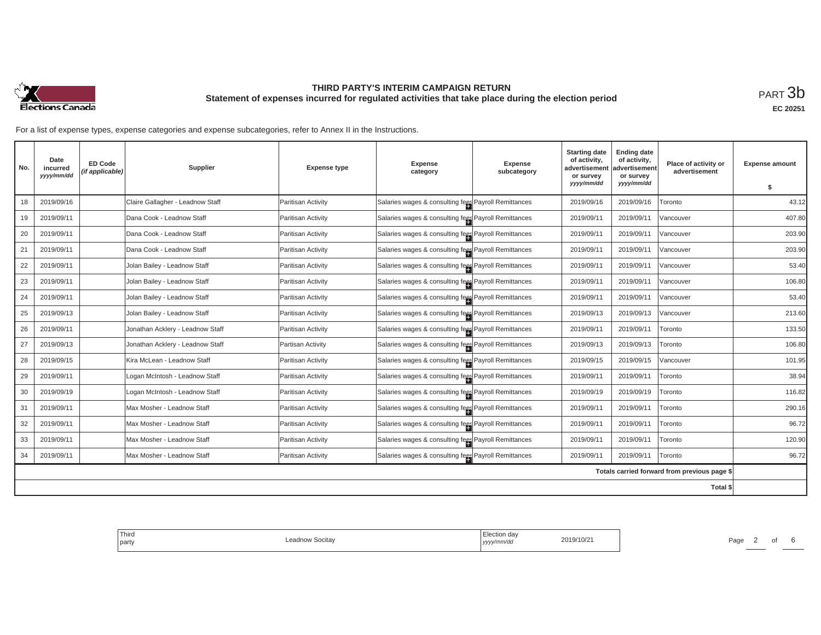

| No.      | Date<br>incurred<br>yyyy/mm/dd | <b>ED Code</b><br>(if applicable) | Supplier                         | <b>Expense type</b> | Expense<br>category                                  | <b>Expense</b><br>subcategory | <b>Starting date</b><br><b>Ending date</b><br>of activity,<br>of activity,<br>advertisement<br>advertisement<br>or survey<br>or survey<br>yyyy/mm/dd<br>yyyy/mm/dd |            | Place of activity or<br>advertisement        | <b>Expense amount</b> |
|----------|--------------------------------|-----------------------------------|----------------------------------|---------------------|------------------------------------------------------|-------------------------------|--------------------------------------------------------------------------------------------------------------------------------------------------------------------|------------|----------------------------------------------|-----------------------|
|          |                                |                                   |                                  |                     |                                                      |                               |                                                                                                                                                                    |            |                                              | \$                    |
| 18       | 2019/09/16                     |                                   | Claire Gallagher - Leadnow Staff | Paritisan Activity  | Salaries wages & consulting fees Payroll Remittances |                               | 2019/09/16                                                                                                                                                         | 2019/09/16 | Toronto                                      | 43.12                 |
| 19       | 2019/09/11                     |                                   | Dana Cook - Leadnow Staff        | Paritisan Activity  | Salaries wages & consulting fees Payroll Remittances |                               | 2019/09/11                                                                                                                                                         | 2019/09/11 | Vancouver                                    | 407.80                |
| 20       | 2019/09/11                     |                                   | Dana Cook - Leadnow Staff        | Paritisan Activity  | Salaries wages & consulting fees Payroll Remittances |                               | 2019/09/11                                                                                                                                                         | 2019/09/11 | Vancouver                                    | 203.90                |
| 21       | 2019/09/11                     |                                   | Dana Cook - Leadnow Staff        | Paritisan Activity  | Salaries wages & consulting fees Payroll Remittances |                               | 2019/09/11                                                                                                                                                         | 2019/09/11 | Vancouver                                    | 203.90                |
| 22       | 2019/09/11                     |                                   | Jolan Bailey - Leadnow Staff     | Paritisan Activity  | Salaries wages & consulting fees Payroll Remittances |                               | 2019/09/11                                                                                                                                                         | 2019/09/11 | Vancouver                                    | 53.40                 |
| 23       | 2019/09/11                     |                                   | Jolan Bailey - Leadnow Staff     | Paritisan Activity  | Salaries wages & consulting fees Payroll Remittances |                               | 2019/09/11                                                                                                                                                         | 2019/09/11 | Vancouver                                    | 106.80                |
| 24       | 2019/09/11                     |                                   | Jolan Bailey - Leadnow Staff     | Paritisan Activity  | Salaries wages & consulting fees Payroll Remittances |                               | 2019/09/11                                                                                                                                                         | 2019/09/11 | Vancouver                                    | 53.40                 |
| 25       | 2019/09/13                     |                                   | Jolan Bailey - Leadnow Staff     | Paritisan Activity  | Salaries wages & consulting fees Payroll Remittances |                               | 2019/09/13                                                                                                                                                         | 2019/09/13 | Vancouver                                    | 213.60                |
| 26       | 2019/09/11                     |                                   | Jonathan Acklery - Leadnow Staff | Paritisan Activity  | Salaries wages & consulting fees Payroll Remittances |                               | 2019/09/11                                                                                                                                                         | 2019/09/11 | Toronto                                      | 133.50                |
| 27       | 2019/09/13                     |                                   | Jonathan Acklery - Leadnow Staff | Partisan Activity   | Salaries wages & consulting fees Payroll Remittances |                               | 2019/09/13                                                                                                                                                         | 2019/09/13 | Toronto                                      | 106.80                |
| 28       | 2019/09/15                     |                                   | Kira McLean - Leadnow Staff      | Paritisan Activity  | Salaries wages & consulting fees Payroll Remittances |                               | 2019/09/15                                                                                                                                                         | 2019/09/15 | Vancouver                                    | 101.95                |
| 29       | 2019/09/11                     |                                   | Logan McIntosh - Leadnow Staff   | Paritisan Activity  | Salaries wages & consulting fees Payroll Remittances |                               | 2019/09/11                                                                                                                                                         | 2019/09/11 | Toronto                                      | 38.94                 |
| 30       | 2019/09/19                     |                                   | Logan McIntosh - Leadnow Staff   | Paritisan Activity  | Salaries wages & consulting fees Payroll Remittances |                               | 2019/09/19                                                                                                                                                         | 2019/09/19 | Toronto                                      | 116.82                |
| 31       | 2019/09/11                     |                                   | Max Mosher - Leadnow Staff       | Paritisan Activity  | Salaries wages & consulting fees Payroll Remittances |                               | 2019/09/11                                                                                                                                                         | 2019/09/11 | Toronto                                      | 290.16                |
| 32       | 2019/09/11                     |                                   | Max Mosher - Leadnow Staff       | Paritisan Activity  | Salaries wages & consulting fees Payroll Remittances |                               | 2019/09/11                                                                                                                                                         | 2019/09/11 | Toronto                                      | 96.72                 |
| 33       | 2019/09/11                     |                                   | Max Mosher - Leadnow Staff       | Paritisan Activity  | Salaries wages & consulting fees Payroll Remittances |                               | 2019/09/11                                                                                                                                                         | 2019/09/11 | Toronto                                      | 120.90                |
| 34       | 2019/09/11                     |                                   | Max Mosher - Leadnow Staff       | Paritisan Activity  | Salaries wages & consulting fees Payroll Remittances |                               | 2019/09/11                                                                                                                                                         | 2019/09/11 | Toronto                                      | 96.72                 |
|          |                                |                                   |                                  |                     |                                                      |                               |                                                                                                                                                                    |            | Totals carried forward from previous page \$ |                       |
| Total \$ |                                |                                   |                                  |                     |                                                      |                               |                                                                                                                                                                    |            |                                              |                       |

| Third<br>Leadnow Socitay<br>party | Election dav<br>2019/10/21<br>yyyy/mm/dd | Page |
|-----------------------------------|------------------------------------------|------|
|-----------------------------------|------------------------------------------|------|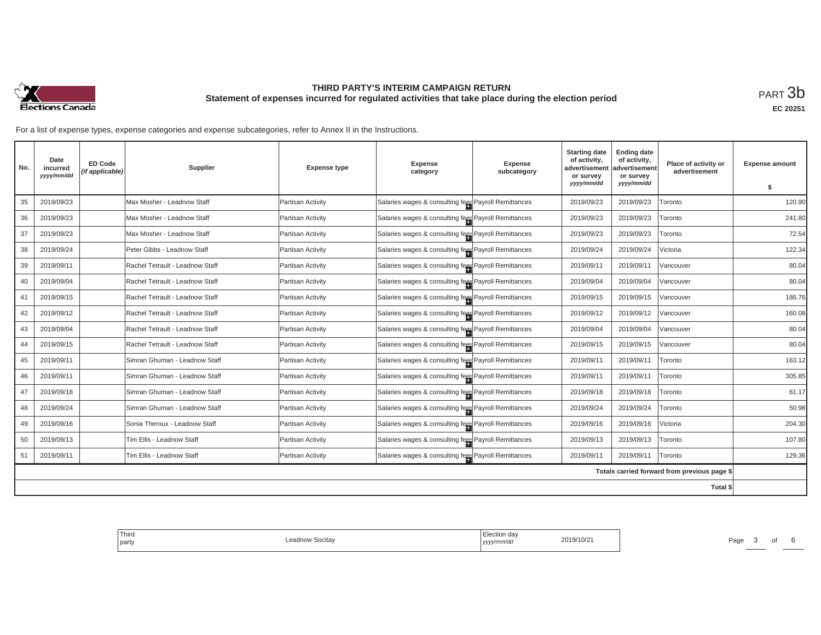

**EC 20251**

| No.      | Date<br>incurred<br>yyyy/mm/dd | <b>ED Code</b><br>(if applicable) | Supplier                        | <b>Expense type</b> | <b>Expense</b><br>category                           | <b>Expense</b><br>subcategory | <b>Starting date</b><br>of activity,<br>advertisemen<br>or survey | <b>Ending date</b><br>of activity,<br>advertisement<br>or survey | Place of activity or<br>advertisement        | <b>Expense amount</b> |
|----------|--------------------------------|-----------------------------------|---------------------------------|---------------------|------------------------------------------------------|-------------------------------|-------------------------------------------------------------------|------------------------------------------------------------------|----------------------------------------------|-----------------------|
|          |                                |                                   |                                 |                     |                                                      |                               | yyyy/mm/dd                                                        | yyyy/mm/dd                                                       |                                              | \$                    |
| 35       | 2019/09/23                     |                                   | Max Mosher - Leadnow Staff      | Partisan Activity   | Salaries wages & consulting fees Payroll Remittances |                               | 2019/09/23                                                        | 2019/09/23                                                       | Toronto                                      | 120.90                |
| 36       | 2019/09/23                     |                                   | Max Mosher - Leadnow Staff      | Partisan Activity   | Salaries wages & consulting fees Payroll Remittances |                               | 2019/09/23                                                        | 2019/09/23                                                       | Toronto                                      | 241.80                |
| 37       | 2019/09/23                     |                                   | Max Mosher - Leadnow Staff      | Partisan Activity   | Salaries wages & consulting fees Payroll Remittances |                               | 2019/09/23                                                        | 2019/09/23                                                       | Toronto                                      | 72.54                 |
| 38       | 2019/09/24                     |                                   | Peter Gibbs - Leadnow Staff     | Partisan Activity   | Salaries wages & consulting fees Payroll Remittances |                               | 2019/09/24                                                        | 2019/09/24                                                       | Victoria                                     | 122.34                |
| 39       | 2019/09/11                     |                                   | Rachel Tetrault - Leadnow Staff | Partisan Activity   | Salaries wages & consulting fees Payroll Remittances |                               | 2019/09/11                                                        | 2019/09/1                                                        | Vancouver                                    | 80.04                 |
| 40       | 2019/09/04                     |                                   | Rachel Tetrault - Leadnow Staff | Partisan Activity   | Salaries wages & consulting fees Payroll Remittances |                               | 2019/09/04                                                        | 2019/09/04                                                       | Vancouver                                    | 80.04                 |
| 41       | 2019/09/15                     |                                   | Rachel Tetrault - Leadnow Staff | Partisan Activity   | Salaries wages & consulting fees Payroll Remittances |                               | 2019/09/15                                                        | 2019/09/15                                                       | /ancouver                                    | 186.76                |
| 42       | 2019/09/12                     |                                   | Rachel Tetrault - Leadnow Staff | Partisan Activity   | Salaries wages & consulting fees Payroll Remittances |                               | 2019/09/12                                                        | 2019/09/12                                                       | /ancouver                                    | 160.08                |
| 43       | 2019/09/04                     |                                   | Rachel Tetrault - Leadnow Staff | Partisan Activity   | Salaries wages & consulting fees Payroll Remittances |                               | 2019/09/04                                                        | 2019/09/04                                                       | /ancouver                                    | 80.04                 |
| 44       | 2019/09/15                     |                                   | Rachel Tetrault - Leadnow Staff | Partisan Activity   | Salaries wages & consulting fees Payroll Remittances |                               | 2019/09/15                                                        | 2019/09/15                                                       | /ancouver                                    | 80.04                 |
| 45       | 2019/09/11                     |                                   | Simran Ghuman - Leadnow Staff   | Partisan Activity   | Salaries wages & consulting fees Payroll Remittances |                               | 2019/09/11                                                        | 2019/09/11                                                       | Toronto                                      | 163.12                |
| 46       | 2019/09/11                     |                                   | Simran Ghuman - Leadnow Staff   | Partisan Activity   | Salaries wages & consulting fees Payroll Remittances |                               | 2019/09/11                                                        | 2019/09/1                                                        | Toronto                                      | 305.85                |
| 47       | 2019/09/18                     |                                   | Simran Ghuman - Leadnow Staff   | Partisan Activity   | Salaries wages & consulting fees Payroll Remittances |                               | 2019/09/18                                                        | 2019/09/18                                                       | Toronto                                      | 61.17                 |
| 48       | 2019/09/24                     |                                   | Simran Ghuman - Leadnow Staff   | Partisan Activity   | Salaries wages & consulting fees Payroll Remittances |                               | 2019/09/24                                                        | 2019/09/24                                                       | Toronto                                      | 50.98                 |
| 49       | 2019/09/16                     |                                   | Sonia Theroux - Leadnow Staff   | Partisan Activity   | Salaries wages & consulting fees Payroll Remittances |                               | 2019/09/16                                                        | 2019/09/16                                                       | /ictoria                                     | 204.30                |
| 50       | 2019/09/13                     |                                   | Tim Ellis - Leadnow Staff       | Partisan Activity   | Salaries wages & consulting fees Payroll Remittances |                               | 2019/09/13                                                        | 2019/09/13                                                       | Toronto                                      | 107.80                |
| 51       | 2019/09/11                     |                                   | Tim Ellis - Leadnow Staff       | Partisan Activity   | Salaries wages & consulting fees Payroll Remittances |                               | 2019/09/11                                                        | 2019/09/11                                                       | Toronto                                      | 129.36                |
|          |                                |                                   |                                 |                     |                                                      |                               |                                                                   |                                                                  | Totals carried forward from previous page \$ |                       |
| Total \$ |                                |                                   |                                 |                     |                                                      |                               |                                                                   |                                                                  |                                              |                       |

| Third<br>party | ∵dnow Socitav<br>$- - -$ | ua<br>yyyy/mm/aa | 2019/10/21 | Page<br>. . |  |
|----------------|--------------------------|------------------|------------|-------------|--|
|                |                          |                  |            |             |  |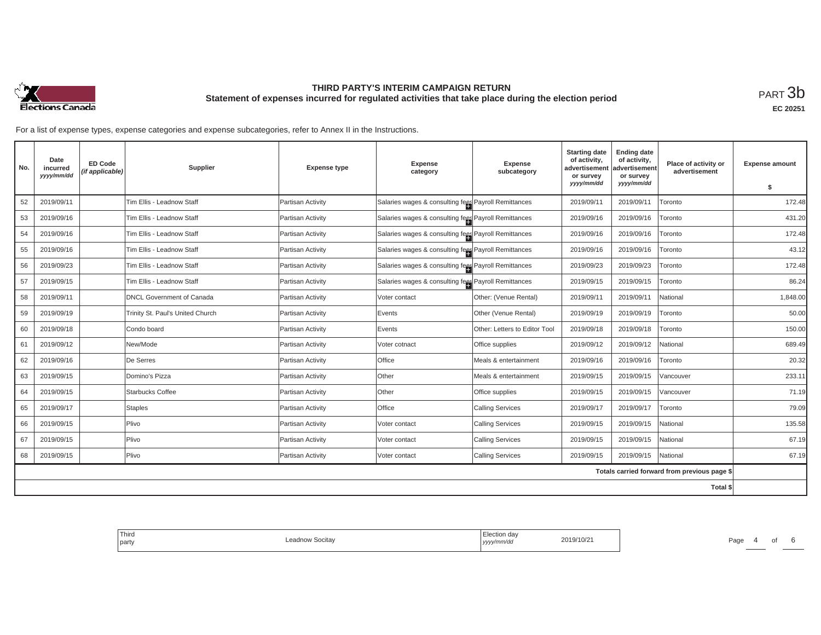

**EC 20251**

| No.      | Date<br>incurred<br>yyyy/mm/dd | <b>ED Code</b><br>(if applicable) | <b>Supplier</b>                  | <b>Expense type</b> | <b>Expense</b><br>category                           | <b>Expense</b><br>subcategory | <b>Starting date</b><br>of activity,<br>advertisement<br>or survey | <b>Ending date</b><br>of activity,<br>advertisement<br>or survey | Place of activity or<br>advertisement        | <b>Expense amount</b> |
|----------|--------------------------------|-----------------------------------|----------------------------------|---------------------|------------------------------------------------------|-------------------------------|--------------------------------------------------------------------|------------------------------------------------------------------|----------------------------------------------|-----------------------|
|          |                                |                                   |                                  |                     |                                                      |                               | yyyy/mm/dd                                                         | yyyy/mm/dd                                                       |                                              | \$                    |
| 52       | 2019/09/11                     |                                   | Tim Ellis - Leadnow Staff        | Partisan Activity   | Salaries wages & consulting fees Payroll Remittances |                               | 2019/09/11                                                         | 2019/09/11                                                       | Toronto                                      | 172.48                |
| 53       | 2019/09/16                     |                                   | Tim Ellis - Leadnow Staff        | Partisan Activity   | Salaries wages & consulting fees Payroll Remittances |                               | 2019/09/16                                                         | 2019/09/16                                                       | Toronto                                      | 431.20                |
| 54       | 2019/09/16                     |                                   | Tim Ellis - Leadnow Staff        | Partisan Activity   | Salaries wages & consulting fees Payroll Remittances |                               | 2019/09/16                                                         | 2019/09/16                                                       | Toronto                                      | 172.48                |
| 55       | 2019/09/16                     |                                   | Tim Ellis - Leadnow Staff        | Partisan Activity   | Salaries wages & consulting fees Payroll Remittances |                               | 2019/09/16                                                         | 2019/09/16                                                       | Toronto                                      | 43.12                 |
| 56       | 2019/09/23                     |                                   | Tim Ellis - Leadnow Staff        | Partisan Activity   | Salaries wages & consulting fees Payroll Remittances |                               | 2019/09/23                                                         | 2019/09/23                                                       | Toronto                                      | 172.48                |
| 57       | 2019/09/15                     |                                   | Tim Ellis - Leadnow Staff        | Partisan Activity   | Salaries wages & consulting fees Payroll Remittances |                               | 2019/09/15                                                         | 2019/09/15                                                       | Toronto                                      | 86.24                 |
| 58       | 2019/09/11                     |                                   | <b>DNCL Government of Canada</b> | Partisan Activity   | Voter contact                                        | Other: (Venue Rental)         | 2019/09/11                                                         | 2019/09/11                                                       | National                                     | 1,848.00              |
| 59       | 2019/09/19                     |                                   | Trinity St. Paul's United Church | Partisan Activity   | Events                                               | Other (Venue Rental)          | 2019/09/19                                                         | 2019/09/19                                                       | Toronto                                      | 50.00                 |
| 60       | 2019/09/18                     |                                   | Condo board                      | Partisan Activity   | Events                                               | Other: Letters to Editor Tool | 2019/09/18                                                         | 2019/09/18                                                       | Toronto                                      | 150.00                |
| 61       | 2019/09/12                     |                                   | New/Mode                         | Partisan Activity   | Voter cotnact                                        | Office supplies               | 2019/09/12                                                         | 2019/09/12                                                       | Vational                                     | 689.49                |
| 62       | 2019/09/16                     |                                   | De Serres                        | Partisan Activity   | Office                                               | Meals & entertainment         | 2019/09/16                                                         | 2019/09/16                                                       | Toronto                                      | 20.32                 |
| 63       | 2019/09/15                     |                                   | Domino's Pizza                   | Partisan Activity   | Other                                                | Meals & entertainment         | 2019/09/15                                                         | 2019/09/15                                                       | /ancouver                                    | 233.11                |
| 64       | 2019/09/15                     |                                   | Starbucks Coffee                 | Partisan Activity   | Other                                                | Office supplies               | 2019/09/15                                                         | 2019/09/15                                                       | /ancouver                                    | 71.19                 |
| 65       | 2019/09/17                     |                                   | <b>Staples</b>                   | Partisan Activity   | Office                                               | <b>Calling Services</b>       | 2019/09/17                                                         | 2019/09/17                                                       | Toronto                                      | 79.09                 |
| 66       | 2019/09/15                     |                                   | Plivo                            | Partisan Activity   | Voter contact                                        | <b>Calling Services</b>       | 2019/09/15                                                         | 2019/09/15                                                       | National                                     | 135.58                |
| 67       | 2019/09/15                     |                                   | Plivo                            | Partisan Activity   | Voter contact                                        | <b>Calling Services</b>       | 2019/09/15                                                         | 2019/09/15                                                       | National                                     | 67.19                 |
| 68       | 2019/09/15                     |                                   | Plivo                            | Partisan Activity   | Voter contact                                        | <b>Calling Services</b>       | 2019/09/15                                                         | 2019/09/15                                                       | National                                     | 67.19                 |
|          |                                |                                   |                                  |                     |                                                      |                               |                                                                    |                                                                  | Totals carried forward from previous page \$ |                       |
| Total \$ |                                |                                   |                                  |                     |                                                      |                               |                                                                    |                                                                  |                                              |                       |

| <sup>1</sup> Thira<br>party | v Socitay<br>Leagnow | $sin n$ .<br>.<br>yyyy/mm/aa | 2019/10/2 | the contract of the contract of the contract of<br>Page |  |  |
|-----------------------------|----------------------|------------------------------|-----------|---------------------------------------------------------|--|--|
|                             |                      |                              |           |                                                         |  |  |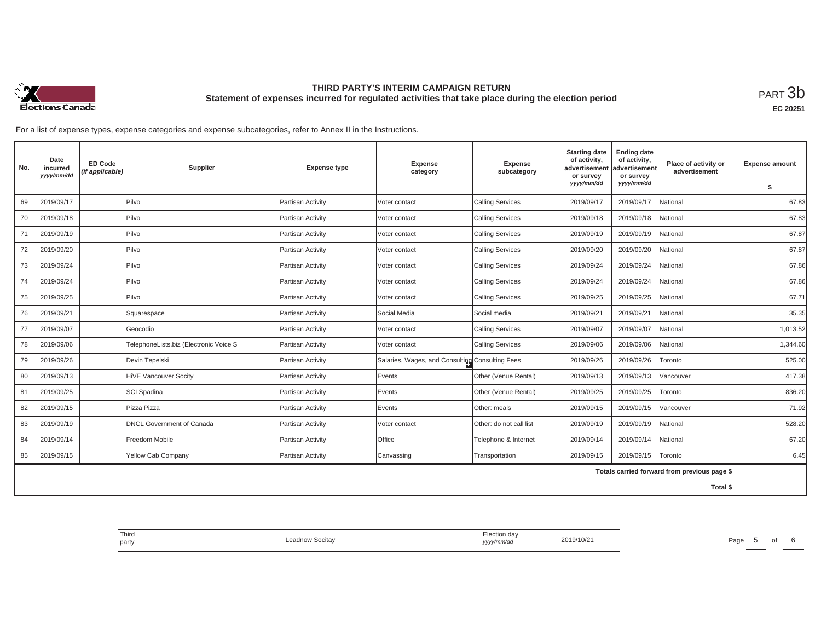

**EC 20251**

| No.      | Date<br>incurred<br>yyyy/mm/dd | <b>ED Code</b><br>(if applicable) | Supplier                               | <b>Expense type</b> | <b>Expense</b><br>category                      | <b>Expense</b><br>subcategory | <b>Starting date</b><br>of activity,<br>advertisement<br>or survey | <b>Ending date</b><br>of activity,<br>advertisement<br>or survey | Place of activity or<br>advertisement        | <b>Expense amount</b> |
|----------|--------------------------------|-----------------------------------|----------------------------------------|---------------------|-------------------------------------------------|-------------------------------|--------------------------------------------------------------------|------------------------------------------------------------------|----------------------------------------------|-----------------------|
|          |                                |                                   |                                        |                     |                                                 |                               | yyyy/mm/dd                                                         | yyyy/mm/dd                                                       |                                              | \$                    |
| 69       | 2019/09/17                     |                                   | Pilvo                                  | Partisan Activity   | Voter contact                                   | <b>Calling Services</b>       | 2019/09/17                                                         | 2019/09/17                                                       | National                                     | 67.83                 |
| 70       | 2019/09/18                     |                                   | Pilvo                                  | Partisan Activity   | Voter contact                                   | <b>Calling Services</b>       | 2019/09/18                                                         | 2019/09/18                                                       | National                                     | 67.83                 |
| 71       | 2019/09/19                     |                                   | Pilvo                                  | Partisan Activity   | Voter contact                                   | <b>Calling Services</b>       | 2019/09/19                                                         | 2019/09/19                                                       | National                                     | 67.87                 |
| 72       | 2019/09/20                     |                                   | Pilvo                                  | Partisan Activity   | Voter contact                                   | <b>Calling Services</b>       | 2019/09/20                                                         | 2019/09/20                                                       | National                                     | 67.87                 |
| 73       | 2019/09/24                     |                                   | Pilvo                                  | Partisan Activity   | Voter contact                                   | <b>Calling Services</b>       | 2019/09/24                                                         | 2019/09/24                                                       | National                                     | 67.86                 |
| 74       | 2019/09/24                     |                                   | Pilvo                                  | Partisan Activity   | Voter contact                                   | <b>Calling Services</b>       | 2019/09/24                                                         | 2019/09/24                                                       | National                                     | 67.86                 |
| 75       | 2019/09/25                     |                                   | Pilvo                                  | Partisan Activity   | Voter contact                                   | <b>Calling Services</b>       | 2019/09/25                                                         | 2019/09/25                                                       | National                                     | 67.71                 |
| 76       | 2019/09/21                     |                                   | Squarespace                            | Partisan Activity   | Social Media                                    | Social media                  | 2019/09/21                                                         | 2019/09/21                                                       | National                                     | 35.35                 |
| 77       | 2019/09/07                     |                                   | Geocodio                               | Partisan Activity   | Voter contact                                   | <b>Calling Services</b>       | 2019/09/07                                                         | 2019/09/07                                                       | National                                     | 1,013.52              |
| 78       | 2019/09/06                     |                                   | TelephoneLists.biz (Electronic Voice S | Partisan Activity   | Voter contact                                   | <b>Calling Services</b>       | 2019/09/06                                                         | 2019/09/06                                                       | National                                     | 1,344.60              |
| 79       | 2019/09/26                     |                                   | Devin Tepelski                         | Partisan Activity   | Salaries, Wages, and Consulting Consulting Fees |                               | 2019/09/26                                                         | 2019/09/26                                                       | Toronto                                      | 525.00                |
| 80       | 2019/09/13                     |                                   | HiVE Vancouver Socity                  | Partisan Activity   | Events                                          | Other (Venue Rental)          | 2019/09/13                                                         | 2019/09/13                                                       | /ancouver                                    | 417.38                |
| 81       | 2019/09/25                     |                                   | SCI Spadina                            | Partisan Activity   | Events                                          | Other (Venue Rental)          | 2019/09/25                                                         | 2019/09/25                                                       | Toronto                                      | 836.20                |
| 82       | 2019/09/15                     |                                   | Pizza Pizza                            | Partisan Activity   | Events                                          | Other: meals                  | 2019/09/15                                                         | 2019/09/15                                                       | Vancouver                                    | 71.92                 |
| 83       | 2019/09/19                     |                                   | <b>DNCL Government of Canada</b>       | Partisan Activity   | Voter contact                                   | Other: do not call list       | 2019/09/19                                                         | 2019/09/19                                                       | National                                     | 528.20                |
| 84       | 2019/09/14                     |                                   | Freedom Mobile                         | Partisan Activity   | <b>Office</b>                                   | Telephone & Internet          | 2019/09/14                                                         | 2019/09/14                                                       | National                                     | 67.20                 |
| 85       | 2019/09/15                     |                                   | Yellow Cab Company                     | Partisan Activity   | Canvassing                                      | Transportation                | 2019/09/15                                                         | 2019/09/15                                                       | Toronto                                      | 6.45                  |
|          |                                |                                   |                                        |                     |                                                 |                               |                                                                    |                                                                  | Totals carried forward from previous page \$ |                       |
| Total \$ |                                |                                   |                                        |                     |                                                 |                               |                                                                    |                                                                  |                                              |                       |

| Third<br>the control of the control of<br>party | Leadnow Socitay | Election day<br>yyyy/mm/dd | 2019/10/21 | Page | . . |  |
|-------------------------------------------------|-----------------|----------------------------|------------|------|-----|--|
|                                                 |                 |                            |            |      |     |  |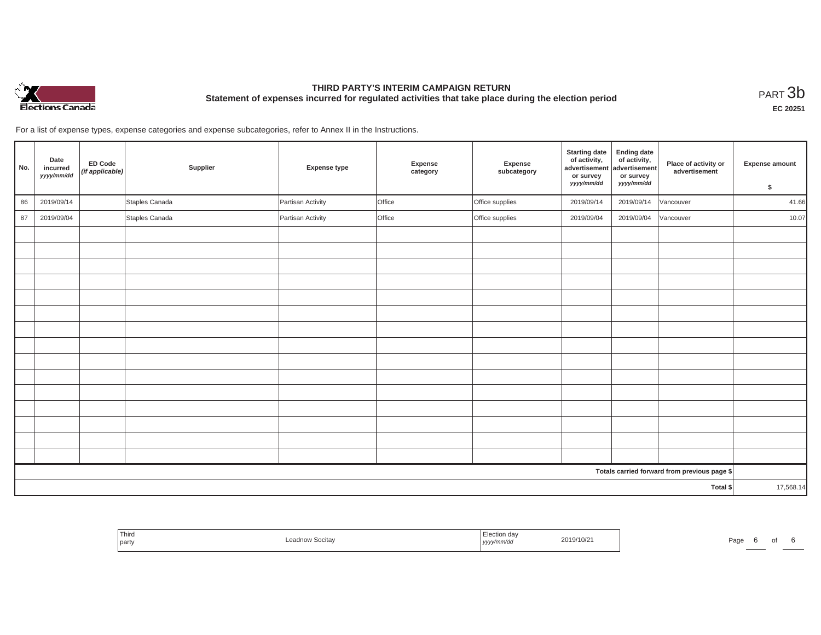

**EC 20251**

| No.                                          | Date<br>incurred<br>yyyy/mm/dd | <b>ED Code</b><br>(if applicable) | Supplier       | <b>Expense type</b> | Expense<br>category | Expense<br>subcategory | <b>Starting date</b><br>of activity,<br>advertisement<br>or survey<br>yyyy/mm/dd | <b>Ending date</b><br>of activity,<br>advertisement<br>or survey<br>yyyy/mm/dd | Place of activity or<br>advertisement | <b>Expense amount</b><br>\$ |
|----------------------------------------------|--------------------------------|-----------------------------------|----------------|---------------------|---------------------|------------------------|----------------------------------------------------------------------------------|--------------------------------------------------------------------------------|---------------------------------------|-----------------------------|
| 86                                           | 2019/09/14                     |                                   | Staples Canada | Partisan Activity   | Office              | Office supplies        | 2019/09/14                                                                       | 2019/09/14                                                                     | Vancouver                             | 41.66                       |
| 87                                           | 2019/09/04                     |                                   | Staples Canada | Partisan Activity   | Office              | Office supplies        | 2019/09/04                                                                       | 2019/09/04                                                                     | Vancouver                             | 10.07                       |
|                                              |                                |                                   |                |                     |                     |                        |                                                                                  |                                                                                |                                       |                             |
|                                              |                                |                                   |                |                     |                     |                        |                                                                                  |                                                                                |                                       |                             |
|                                              |                                |                                   |                |                     |                     |                        |                                                                                  |                                                                                |                                       |                             |
|                                              |                                |                                   |                |                     |                     |                        |                                                                                  |                                                                                |                                       |                             |
|                                              |                                |                                   |                |                     |                     |                        |                                                                                  |                                                                                |                                       |                             |
|                                              |                                |                                   |                |                     |                     |                        |                                                                                  |                                                                                |                                       |                             |
|                                              |                                |                                   |                |                     |                     |                        |                                                                                  |                                                                                |                                       |                             |
|                                              |                                |                                   |                |                     |                     |                        |                                                                                  |                                                                                |                                       |                             |
|                                              |                                |                                   |                |                     |                     |                        |                                                                                  |                                                                                |                                       |                             |
|                                              |                                |                                   |                |                     |                     |                        |                                                                                  |                                                                                |                                       |                             |
|                                              |                                |                                   |                |                     |                     |                        |                                                                                  |                                                                                |                                       |                             |
|                                              |                                |                                   |                |                     |                     |                        |                                                                                  |                                                                                |                                       |                             |
|                                              |                                |                                   |                |                     |                     |                        |                                                                                  |                                                                                |                                       |                             |
|                                              |                                |                                   |                |                     |                     |                        |                                                                                  |                                                                                |                                       |                             |
|                                              |                                |                                   |                |                     |                     |                        |                                                                                  |                                                                                |                                       |                             |
| Totals carried forward from previous page \$ |                                |                                   |                |                     |                     |                        |                                                                                  |                                                                                |                                       |                             |
| Total \$                                     |                                |                                   |                |                     |                     |                        | 17,568.14                                                                        |                                                                                |                                       |                             |

| ' Third<br>2019/10/2<br>/ Socitay<br>party<br>yyyy.<br><br>. | Page |
|--------------------------------------------------------------|------|
|--------------------------------------------------------------|------|